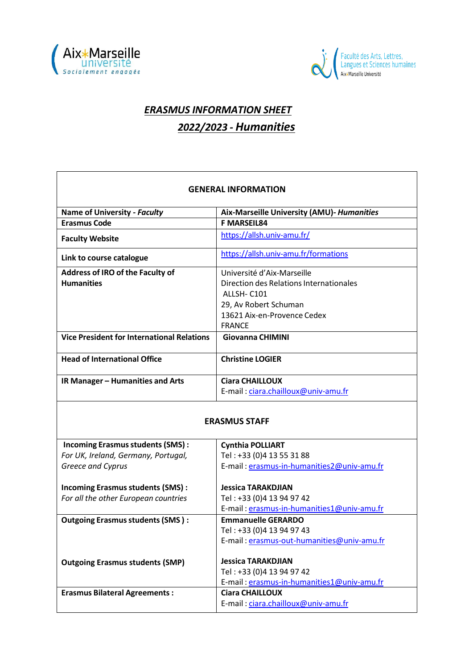



## *ERASMUS INFORMATION SHEET 2022/2023 - Humanities*

| <b>GENERAL INFORMATION</b>                        |                                            |  |
|---------------------------------------------------|--------------------------------------------|--|
|                                                   |                                            |  |
| <b>Name of University - Faculty</b>               | Aix-Marseille University (AMU)- Humanities |  |
| <b>Erasmus Code</b>                               | <b>F MARSEIL84</b>                         |  |
| <b>Faculty Website</b>                            | https://allsh.univ-amu.fr/                 |  |
| Link to course catalogue                          | https://allsh.univ-amu.fr/formations       |  |
| Address of IRO of the Faculty of                  | Université d'Aix-Marseille                 |  |
| <b>Humanities</b>                                 | Direction des Relations Internationales    |  |
|                                                   | ALLSH-C101                                 |  |
|                                                   | 29, Av Robert Schuman                      |  |
|                                                   | 13621 Aix-en-Provence Cedex                |  |
|                                                   | <b>FRANCE</b>                              |  |
| <b>Vice President for International Relations</b> | <b>Giovanna CHIMINI</b>                    |  |
| <b>Head of International Office</b>               | <b>Christine LOGIER</b>                    |  |
| IR Manager - Humanities and Arts                  | <b>Ciara CHAILLOUX</b>                     |  |
|                                                   | E-mail: ciara.chailloux@univ-amu.fr        |  |
|                                                   |                                            |  |
| <b>ERASMUS STAFF</b>                              |                                            |  |
| <b>Incoming Erasmus students (SMS):</b>           | <b>Cynthia POLLIART</b>                    |  |
| For UK, Ireland, Germany, Portugal,               | Tel: +33 (0)4 13 55 31 88                  |  |
| Greece and Cyprus                                 | E-mail: erasmus-in-humanities2@univ-amu.fr |  |
| <b>Incoming Erasmus students (SMS):</b>           | <b>Jessica TARAKDJIAN</b>                  |  |
| For all the other European countries              | Tel: +33 (0)4 13 94 97 42                  |  |
|                                                   | E-mail: erasmus-in-humanities1@univ-amu.fr |  |
| <b>Outgoing Erasmus students (SMS):</b>           | <b>Emmanuelle GERARDO</b>                  |  |
|                                                   | Tel: +33 (0)4 13 94 97 43                  |  |
|                                                   | E-mail: erasmus-out-humanities@univ-amu.fr |  |
| <b>Outgoing Erasmus students (SMP)</b>            | <b>Jessica TARAKDJIAN</b>                  |  |
|                                                   | Tel: +33 (0)4 13 94 97 42                  |  |
|                                                   | E-mail: erasmus-in-humanities1@univ-amu.fr |  |
| <b>Erasmus Bilateral Agreements:</b>              | <b>Ciara CHAILLOUX</b>                     |  |
|                                                   | E-mail: ciara.chailloux@univ-amu.fr        |  |
|                                                   |                                            |  |